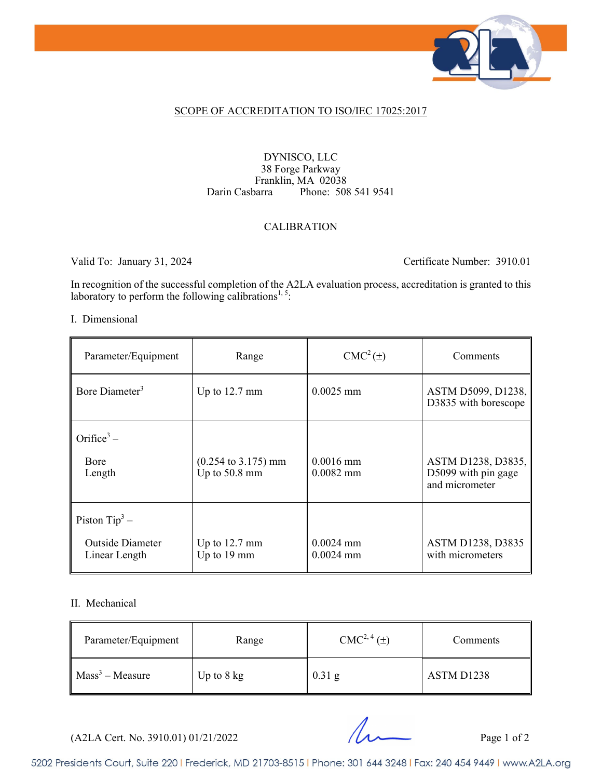

#### SCOPE OF ACCREDITATION TO ISO/IEC 17025:2017

#### DYNISCO, LLC 38 Forge Parkway Franklin, MA 02038<br>Darin Casbarra Phone: 508 Phone: 508 541 9541

#### CALIBRATION

Valid To: January 31, 2024 Certificate Number: 3910.01

In recognition of the successful completion of the A2LA evaluation process, accreditation is granted to this laboratory to perform the following calibrations<sup>1,5</sup>:

#### I. Dimensional

| Parameter/Equipment                                          | Range                                                   | $CMC2(\pm)$                | Comments                                                    |
|--------------------------------------------------------------|---------------------------------------------------------|----------------------------|-------------------------------------------------------------|
| Bore Diameter <sup>3</sup>                                   | Up to $12.7 \text{ mm}$                                 | $0.0025$ mm                | ASTM D5099, D1238,<br>D3835 with borescope                  |
| Orifice <sup>3</sup> –<br>Bore<br>Length                     | $(0.254 \text{ to } 3.175) \text{ mm}$<br>Up to 50.8 mm | $0.0016$ mm<br>$0.0082$ mm | ASTM D1238, D3835,<br>D5099 with pin gage<br>and micrometer |
| Piston $Tip^3$ –<br><b>Outside Diameter</b><br>Linear Length | Up to $12.7 \text{ mm}$<br>Up to 19 mm                  | $0.0024$ mm<br>$0.0024$ mm | ASTM D1238, D3835<br>with micrometers                       |

#### II. Mechanical

| Parameter/Equipment | Range                | $CMC2, 4(\pm)$ | Comments   |
|---------------------|----------------------|----------------|------------|
| $Mass3 - Measure$   | Up to $8 \text{ kg}$ | $0.31$ g       | ASTM D1238 |

 $(A2LA$  Cert. No. 3910.01) 01/21/2022 Page 1 of 2

5202 Presidents Court, Suite 220 | Frederick, MD 21703-8515 | Phone: 301 644 3248 | Fax: 240 454 9449 | www.A2LA.org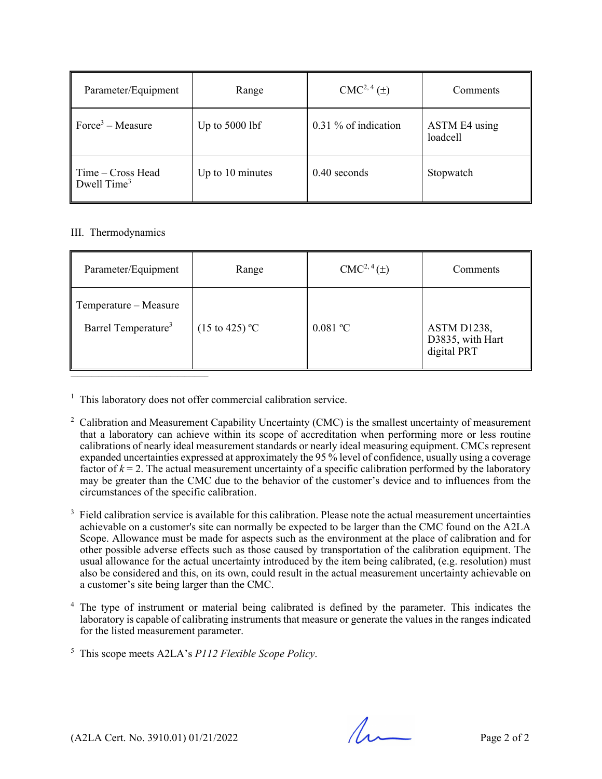| Parameter/Equipment                | Range            | CMC <sup>2, 4</sup> (±) | Comments                  |
|------------------------------------|------------------|-------------------------|---------------------------|
| $Force3 - Measure$                 | Up to $5000$ lbf | 0.31 % of indication    | ASTM E4 using<br>loadcell |
| Time – Cross Head<br>Dwell $Time3$ | Up to 10 minutes | $0.40$ seconds          | Stopwatch                 |

#### III. Thermodynamics

| Parameter/Equipment                                      | Range                     | $CMC2, 4(\pm)$ | Comments                                       |
|----------------------------------------------------------|---------------------------|----------------|------------------------------------------------|
| Temperature – Measure<br>Barrel Temperature <sup>3</sup> | $(15 \text{ to } 425)$ °C | $0.081$ °C     | ASTM D1238,<br>D3835, with Hart<br>digital PRT |

<sup>1</sup> This laboratory does not offer commercial calibration service.

- <sup>2</sup> Calibration and Measurement Capability Uncertainty (CMC) is the smallest uncertainty of measurement that a laboratory can achieve within its scope of accreditation when performing more or less routine calibrations of nearly ideal measurement standards or nearly ideal measuring equipment. CMCs represent expanded uncertainties expressed at approximately the 95 % level of confidence, usually using a coverage factor of  $k = 2$ . The actual measurement uncertainty of a specific calibration performed by the laboratory may be greater than the CMC due to the behavior of the customer's device and to influences from the circumstances of the specific calibration.
- $3$  Field calibration service is available for this calibration. Please note the actual measurement uncertainties achievable on a customer's site can normally be expected to be larger than the CMC found on the A2LA Scope. Allowance must be made for aspects such as the environment at the place of calibration and for other possible adverse effects such as those caused by transportation of the calibration equipment. The usual allowance for the actual uncertainty introduced by the item being calibrated, (e.g. resolution) must also be considered and this, on its own, could result in the actual measurement uncertainty achievable on a customer's site being larger than the CMC.
- 4 The type of instrument or material being calibrated is defined by the parameter. This indicates the laboratory is capable of calibrating instruments that measure or generate the values in the ranges indicated for the listed measurement parameter.
- 5 This scope meets A2LA's *P112 Flexible Scope Policy*.

 $(A2LA$  Cert. No. 3910.01) 01/21/2022 Page 2 of 2